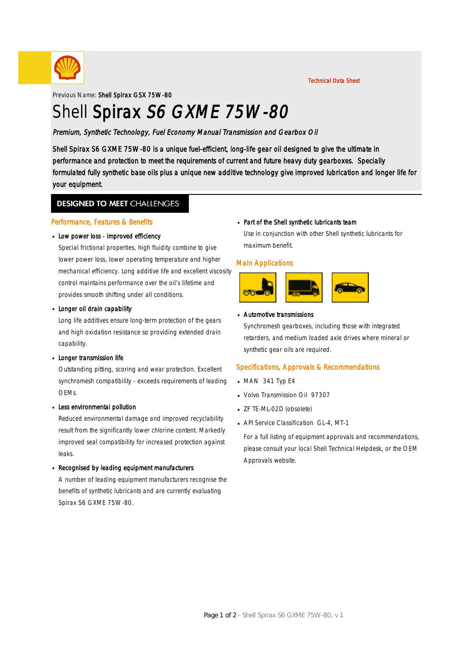

Technical Data Sheet

Previous Name: Shell Spirax GSX 75W-80

# Shell Spirax S6 GXME 75W-80

Premium, Synthetic Technology, Fuel Economy Manual Transmission and Gearbox Oil

Shell Spirax S6 GXME 75W-80 is a unique fuel-efficient, long-life gear oil designed to give the ultimate in performance and protection to meet the requirements of current and future heavy duty gearboxes. Specially formulated fully synthetic base oils plus a unique new additive technology give improved lubrication and longer life for your equipment.

### **DESIGNED TO MEET CHALLENGES**

#### Performance, Features & Benefits

## Low power loss - improved efficiency ·

Special frictional properties, high fluidity combine to give lower power loss, lower operating temperature and higher mechanical efficiency. Long additive life and excellent viscosity control maintains performance over the oil's lifetime and provides smooth shifting under all conditions.

## **Longer oil drain capability**

Long life additives ensure long-term protection of the gears and high oxidation resistance so providing extended drain capability.

## **Longer transmission life**

Outstanding pitting, scoring and wear protection. Excellent synchromesh compatibility - exceeds requirements of leading OEMs.

## **Less environmental pollution**

Reduced environmental damage and improved recyclability result from the significantly lower chlorine content. Markedly improved seal compatibility for increased protection against leaks.

## Recognised by leading equipment manufacturers ·

A number of leading equipment manufacturers recognise the benefits of synthetic lubricants and are currently evaluating Spirax S6 GXME 75W-80.

## Part of the Shell synthetic lubricants team ·

Use in conjunction with other Shell synthetic lubricants for maximum benefit.

#### Main Applications



## Automotive transmissions ·

Synchromesh gearboxes, including those with integrated retarders, and medium loaded axle drives where mineral or synthetic gear oils are required.

#### Specifications, Approvals & Recommendations

- $-MAN$  341 Typ E4
- Volvo Transmission Oil 97307 ·
- ZF TE-ML-02D (obsolete) ·
- **API Service Classification GL-4, MT-1**

For a full listing of equipment approvals and recommendations, please consult your local Shell Technical Helpdesk, or the OEM Approvals website.